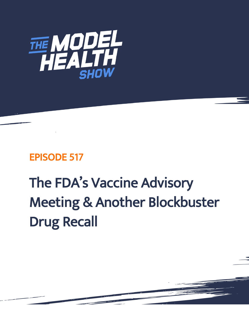

# EPISODE 517

# The FDA's Vaccine Advisory Meeting & Another Blockbuster Drug Recall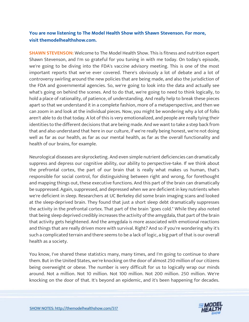## **You are now listening to The Model Health Show with Shawn Stevenson. For more, visit themodelhealthshow.com.**

**SHAWN STEVENSON:** Welcome to The Model Health Show. This is fitness and nutrition expert Shawn Stevenson, and I'm so grateful for you tuning in with me today. On today's episode, we're going to be diving into the FDA's vaccine advisory meeting. This is one of the most important reports that we've ever covered. There's obviously a lot of debate and a lot of controversy swirling around the new policies that are being made, and also the jurisdiction of the FDA and governmental agencies. So, we're going to look into the data and actually see what's going on behind the scenes. And to do that, we're going to need to think logically, to hold a place of rationality, of patience, of understanding. And really help to break these pieces apart so that we understand it in a complete fashion, more of a metaperspective, and then we can zoom in and look at the individual pieces. Now, you might be wondering why a lot of folks aren't able to do that today. A lot of this is very emotionalized, and people are really tying their identities to the different decisions that are being made. And we want to take a step back from that and also understand that here in our culture, if we're really being honest, we're not doing well as far as our health, as far as our mental health, as far as the overall functionality and health of our brains, for example.

Neurological diseases are skyrocketing. And even simple nutrient deficiencies can dramatically suppress and depress our cognitive ability, our ability to perspective-take. If we think about the prefrontal cortex, the part of our brain that is really what makes us human, that's responsible for social control, for distinguishing between right and wrong, for forethought and mapping things out, these executive functions. And this part of the brain can dramatically be suppressed. Again, suppressed, and depressed when we are deficient in key nutrients when we're deficient in sleep. Researchers at UC Berkeley did some brain imaging scans and looked at the sleep-deprived brain. They found that just a short sleep debt dramatically suppresses the activity in the prefrontal cortex. That part of the brain "goes cold." While they also noted that being sleep deprived credibly increases the activity of the amygdala, that part of the brain that activity gets heightened. And the amygdala is more associated with emotional reactions and things that are really driven more with survival. Right? And so if you're wondering why it's such a complicated terrain and there seems to be a lack of logic, a big part of that is our overall health as a society.

You know, I've shared these statistics many, many times, and I'm going to continue to share them. But in the United States, we're knocking on the door of almost 250 million of our citizens being overweight or obese. The number is very difficult for us to logically wrap our minds around. Not a million. Not 10 million. Not 100 million. Not 200 million. 250 million. We're knocking on the door of that. It's beyond an epidemic, and it's been happening for decades.

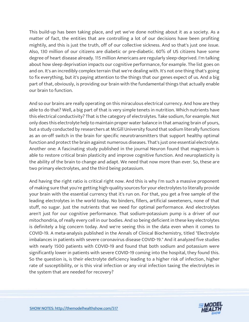This build-up has been taking place, and yet we've done nothing about it as a society. As a matter of fact, the entities that are controlling a lot of our decisions have been profiting mightily, and this is just the truth, off of our collective sickness. And so that's just one issue. Also, 130 million of our citizens are diabetic or pre-diabetic. 60% of US citizens have some degree of heart disease already. 115 million Americans are regularly sleep-deprived. I'm talking about how sleep deprivation impacts our cognitive performance, for example. The list goes on and on. It's an incredibly complex terrain that we're dealing with. It's not one thing that's going to fix everything, but it's paying attention to the things that our genes expect of us. And a big part of that, obviously, is providing our brain with the fundamental things that actually enable our brain to function.

And so our brains are really operating on this miraculous electrical currency. And how are they able to do that? Well, a big part of that is very simple tenets in nutrition. Which nutrients have this electrical conductivity? That is the category of electrolytes. Take sodium, for example. Not only does this electrolyte help to maintain proper water balance in that amazing brain of yours, but a study conducted by researchers at McGill University found that sodium literally functions as an on-off switch in the brain for specific neurotransmitters that support healthy optimal function and protect the brain against numerous diseases. That's just one essential electrolyte. Another one: A fascinating study published in the journal Neuron found that magnesium is able to restore critical brain plasticity and improve cognitive function. And neuroplasticity is the ability of the brain to change and adapt. We need that now more than ever. So, these are two primary electrolytes, and the third being potassium.

And having the right ratio is critical right now. And this is why I'm such a massive proponent of making sure that you're getting high-quality sources for your electrolytes to literally provide your brain with the essential currency that it's run on. For that, you get a free sample of the leading electrolytes in the world today. No binders, fillers, artificial sweeteners, none of that stuff, no sugar. Just the nutrients that we need for optimal performance. And electrolytes aren't just for our cognitive performance. That sodium-potassium pump is a driver of our mitochondria, of really every cell in our bodies. And so being deficient in these key electrolytes is definitely a big concern today. And we're seeing this in the data even when it comes to COVID-19. A meta-analysis published in the Annals of Clinical Biochemistry, titled "Electrolyte imbalances in patients with severe coronavirus disease COVID-19." And it analyzed five studies with nearly 1500 patients with COVID-19 and found that both sodium and potassium were significantly lower in patients with severe COVID-19 coming into the hospital, they found this. So the question is, is their electrolyte deficiency leading to a higher risk of infection, higher rate of susceptibility, or is this viral infection or any viral infection taxing the electrolytes in the system that are needed for recovery?

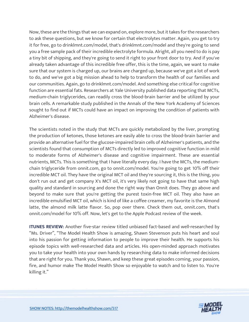Now, these are the things that we can expand on, explore more, but it takes for the researchers to ask these questions, but we know for certain that electrolytes matter. Again, you get to try it for free, go to drinklmnt.com/model, that's drinklmnt.com/model and they're going to send you a free sample pack of their incredible electrolyte formula. Alright, all you need to do is pay a tiny bit of shipping, and they're going to send it right to your front door to try. And if you've already taken advantage of this incredible free offer, this is the time, again, we want to make sure that our system is charged up, our brains are charged up, because we've got a lot of work to do, and we've got a big mission ahead to help to transform the health of our families and our communities. Again, go to drinklmnt.com/model. And something else critical for cognitive function are essential fats. Researchers at Yale University published data reporting that MCTs, medium-chain triglycerides, can readily cross the blood-brain barrier and be utilized by your brain cells. A remarkable study published in the Annals of the New York Academy of Sciences sought to find out if MCTs could have an impact on improving the condition of patients with Alzheimer's disease.

The scientists noted in the study that MCTs are quickly metabolized by the liver, prompting the production of ketones, those ketones are easily able to cross the blood-brain barrier and provide an alternative fuel for the glucose-impaired brain cells of Alzheimer's patients, and the scientists found that consumption of MCTs directly led to improved cognitive function in mild to moderate forms of Alzheimer's disease and cognitive impairment. These are essential nutrients, MCTs. This is something that I have literally every day. I have the MCTs, the mediumchain triglyceride from onnit.com, go to onnit.com/model. You're going to get 10% off their incredible MCT oil. They have the original MCT oil and they're sourcing it, this is the thing, you don't run out and get company X's MCT oil, it's very likely not going to have that same high quality and standard in sourcing and done the right way than Onnit does. They go above and beyond to make sure that you're getting the purest toxin-free MCT oil. They also have an incredible emulsified MCT oil, which is kind of like a coffee creamer, my favorite is the Almond latte, the almond milk latte flavor. So, pop over there. Check them out, onnit.com, that's onnit.com/model for 10% off. Now, let's get to the Apple Podcast review of the week.

**ITUNES REVIEW:** Another five-star review titled unbiased fact-based and well-researched by "Ms. Driver", "The Model Health Show is amazing, Shawn Stevenson puts his heart and soul into his passion for getting information to people to improve their health. He supports his episode topics with well-researched data and articles. His open-minded approach motivates you to take your health into your own hands by researching data to make informed decisions that are right for you. Thank you, Shawn, and keep these great episodes coming, your passion, fire, and humor make The Model Health Show so enjoyable to watch and to listen to. You're killing it."

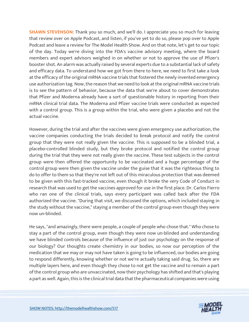**SHAWN STEVENSON:** Thank you so much, and we'll do. I appreciate you so much for leaving that review over on Apple Podcast, and listen, if you've yet to do so, please pop over to Apple Podcast and leave a review for The Model Health Show. And on that note, let's get to our topic of the day. Today we're diving into the FDA's vaccine advisory meeting, where the board members and expert advisors weighed in on whether or not to approve the use of Pfizer's booster shot. An alarm was actually raised by several experts due to a substantial lack of safety and efficacy data. To understand how we got from there to here, we need to first take a look at the efficacy of the original mRNA vaccine trials that fostered the newly invented emergency use authorization tag. Now, the reason that we need to look at the original mRNA vaccine trials is to see the pattern of behavior, because the data that we're about to cover demonstrates that Pfizer and Moderna already have a sort of questionable history in reporting from their mRNA clinical trial data. The Moderna and Pfizer vaccine trials were conducted as expected with a control group. This is a group within the trial, who were given a placebo and not the actual vaccine.

However, during the trial and after the vaccines were given emergency use authorization, the vaccine companies conducting the trials decided to break protocol and notify the control group that they were not really given the vaccine. This is supposed to be a blinded trial, a placebo-controlled blinded study, but they broke protocol and notified the control group during the trial that they were not really given the vaccine. These test subjects in the control group were then offered the opportunity to be vaccinated and a huge percentage of the control group were then given the vaccine under the guise that it was the righteous thing to do to offer to them so that they're not left out of this miraculous protection that was deemed to be given with this fast-tracked vaccine, even though it broke the very Code of Conduct in research that was used to get the vaccines approved for use in the first place. Dr. Carlos Fierro who ran one of the clinical trials, says every participant was called back after the FDA authorized the vaccine. "During that visit, we discussed the options, which included staying in the study without the vaccine," staying a member of the control group even though they were now un-blinded.

He says, "and amazingly, there were people, a couple of people who chose that." Who chose to stay a part of the control group, even though they were now un-blinded and understanding we have blinded controls because of the influence of just our psychology on the response of our biology? Our thoughts create chemistry in our bodies, so now our perception of the medication that we may or may not have taken is going to be influenced, our bodies are going to respond differently, knowing whether or not we're actually taking said drug. So, there are multiple layers here, and even though they chose to not get the vaccine and to remain a part of the control group who are unvaccinated, now their psychology has shifted and that's playing a part as well. Again, this is the clinical trial data that the pharmaceutical companies were using

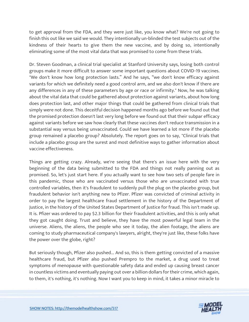to get approval from the FDA, and they were just like, you know what? We're not going to finish this out like we said we would. They intentionally un-blinded the test subjects out of the kindness of their hearts to give them the new vaccine, and by doing so, intentionally eliminating some of the most vital data that was promised to come from these trials.

Dr. Steven Goodman, a clinical trial specialist at Stanford University says, losing both control groups make it more difficult to answer some important questions about COVID-19 vaccines. "We don't know how long protection lasts." And he says, "we don't know efficacy against variants for which we definitely need a good control arm, and we also don't know if there are any differences in any of these parameters by age or race or infirmity." Now, he was talking about the vital data that could be gathered about protection against variants, about how long does protection last, and other major things that could be gathered from clinical trials that simply were not done. This deceitful decision happened months ago before we found out that the promised protection doesn't last very long before we found out that their subpar efficacy against variants before we saw how clearly that these vaccines don't reduce transmission in a substantial way versus being unvaccinated. Could we have learned a lot more if the placebo group remained a placebo group? Absolutely. The report goes on to say, "Clinical trials that include a placebo group are the surest and most definitive ways to gather information about vaccine effectiveness.

Things are getting crazy. Already, we're seeing that there's an issue here with the very beginning of the data being submitted to the FDA and things not really panning out as promised. So, let's just start here. If you actually want to see how two sets of people fare in this pandemic, those who are vaccinated versus those who are unvaccinated with true controlled variables, then it's fraudulent to suddenly pull the plug on the placebo group, but fraudulent behavior isn't anything new to Pfizer. Pfizer was convicted of criminal activity in order to pay the largest healthcare fraud settlement in the history of the Department of Justice, in the history of the United States Department of Justice for fraud. This isn't made up. It is. Pfizer was ordered to pay \$2.3 billion for their fraudulent activities, and this is only what they got caught doing. Trust and believe, they have the most powerful legal team in the universe. Aliens, the aliens, the people who see it today, the alien footage, the aliens are coming to study pharmaceutical company's lawyers, alright, they're just like, these folks have the power over the globe, right?

But seriously though, Pfizer also pushed... And so, this is them getting convicted of a massive healthcare fraud, but Pfizer also pushed Prempro to the market, a drug used to treat symptoms of menopause with questionable safety data and ended up causing breast cancer in countless victims and eventually paying out over a billion dollars for their crime, which again, to them, it's nothing, it's nothing. Now I want you to keep in mind, it takes a minor miracle to

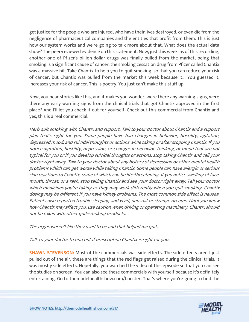get justice for the people who are injured, who have their lives destroyed, or even die from the negligence of pharmaceutical companies and the entities that profit from them. This is just how our system works and we're going to talk more about that. What does the actual data show? The peer-reviewed evidence on this statement. Now, just this week, as of this recording, another one of Pfizer's billion-dollar drugs was finally pulled from the market, being that smoking is a significant cause of cancer, the smoking cessation drug from Pfizer called Chantix was a massive hit. Take Chantix to help you to quit smoking, so that you can reduce your risk of cancer, but Chantix was pulled from the market this week because it... You guessed it, increases your risk of cancer. This is poetry. You just can't make this stuff up.

Now, you hear stories like this, and it makes you wonder, were there any warning signs, were there any early warning signs from the clinical trials that got Chantix approved in the first place? And I'll let you check it out for yourself. Check out this commercial from Chantix and yes, this is a real commercial.

Herb quit smoking with Chantix and support. Talk to your doctor about Chantix and a support plan that's right for you. Some people have had changes in behavior, hostility, agitation, depressed mood, and suicidal thoughts or actions while taking or after stopping Chantix. If you notice agitation, hostility, depression, or changes in behavior, thinking, or mood that are not typical for you or if you develop suicidal thoughts or actions, stop taking Chantix and call your doctor right away. Talk to your doctor about any history of depression or other mental health problems which can get worse while taking Chantix. Some people can have allergic or serious skin reactions to Chantix, some of which can be life-threatening. If you notice swelling of face, mouth, throat, or a rash, stop taking Chantix and see your doctor right away. Tell your doctor which medicines you're taking as they may work differently when you quit smoking. Chantix dosing may be different if you have kidney problems. The most common side effect is nausea. Patients also reported trouble sleeping and vivid, unusual or strange dreams. Until you know how Chantix may affect you, use caution when driving or operating machinery. Chantix should not be taken with other quit-smoking products.

The urges weren't like they used to be and that helped me quit.

Talk to your doctor to find out if prescription Chantix is right for you.

**SHAWN STEVENSON:** Most of the commercials was side effects. The side effects aren't just pulled out of the air, these are things that the red flags get raised during the clinical trials. It was mostly side effects. Hopefully, you watched the video of this episode so that you can see the studies on screen. You can also see these commercials with yourself because it's definitely entertaining. Go to themodelhealthshow.com/booster. That's where you're going to find the

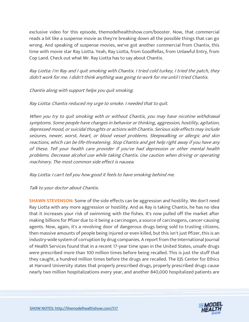exclusive video for this episode, themodelhealthshow.com/booster. Now, that commercial reads a bit like a suspense movie as they're breaking down all the possible things that can go wrong. And speaking of suspense movies, we've got another commercial from Chantix, this time with movie star Ray Liotta. Yeah, Ray Liotta, from Goodfellas, from Unlawful Entry, from Cop Land. Check out what Mr. Ray Liotta has to say about Chantix.

Ray Liotta: I'm Ray and I quit smoking with Chantix. I tried cold turkey, I tried the patch, they didn't work for me. I didn't think anything was going to work for me until I tried Chantix.

#### Chantix along with support helps you quit smoking.

#### Ray Liotta: Chantix reduced my urge to smoke. I needed that to quit.

When you try to quit smoking with or without Chantix, you may have nicotine withdrawal symptoms. Some people have changes in behavior or thinking, aggression, hostility, agitation, depressed mood, or suicidal thoughts or actions with Chantix. Serious side effects may include seizures, newer, worst, heart, or blood vessel problems. Sleepwalking or allergic and skin reactions, which can be life-threatening. Stop Chantix and get help right away if you have any of these. Tell your health care provider if you've had depression or other mental health problems. Decrease alcohol use while taking Chantix. Use caution when driving or operating machinery. The most common side effect is nausea.

#### Ray Liotta: I can't tell you how good it feels to have smoking behind me.

## Talk to your doctor about Chantix.

**SHAWN STEVENSON:** Some of the side effects can be aggression and hostility. We don't need Ray Liotta with any more aggression or hostility. And as Ray is taking Chantix, he has no idea that it increases your risk of swimming with the fishes. It's now pulled off the market after making billions for Pfizer due to it being a carcinogen, a source of carcinogens, cancer-causing agents. Now, again, it's a revolving door of dangerous drugs being sold to trusting citizens, then massive amounts of people being injured or even killed, but this isn't just Pfizer, this is an industry-wide system of corruption by drug companies. A report from the International Journal of Health Services found that in a recent 17-year time span in the United States, unsafe drugs were prescribed more than 100 million times before being recalled. This is just the stuff that they caught, a hundred million times before the drugs are recalled. The EJS Center for Ethics at Harvard University states that properly prescribed drugs, properly prescribed drugs cause nearly two million hospitalizations every year, and another 840,000 hospitalized patients are

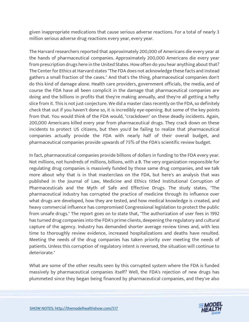given inappropriate medications that cause serious adverse reactions. For a total of nearly 3 million serious adverse drug reactions every year, every year.

The Harvard researchers reported that approximately 200,000 of Americans die every year at the hands of pharmaceutical companies. Approximately 200,000 Americans die every year from prescription drugs here in the United States. How often do you hear anything about that? The Center for Ethics at Harvard states "The FDA does not acknowledge these facts and instead gathers a small fraction of the cases." And that's the thing, pharmaceutical companies don't do this kind of damage alone. Health care providers, government officials, the media, and of course the FDA have all been complicit in the damage that pharmaceutical companies are doing and the billions in profits that they're making annually, and they're all getting a hefty slice from it. This is not just conjecture. We did a master class recently on the FDA, so definitely check that out if you haven't done so, it is incredibly eye-opening. But some of the key points from that. You would think of the FDA would, "crackdown" on these deadly incidents. Again, 200,000 Americans killed every year from pharmaceutical drugs. They crack down on these incidents to protect US citizens, but then you'd be failing to realize that pharmaceutical companies actually provide the FDA with nearly half of their overall budget, and pharmaceutical companies provide upwards of 75% of the FDA's scientific review budget.

In fact, pharmaceutical companies provide billions of dollars in funding to the FDA every year. Not millions, not hundreds of millions, billions, with a B. The very organization responsible for regulating drug companies is massively funded by those same drug companies, and we talk more about why that is in that masterclass on the FDA, but here's an analysis that was published in the Journal of Law, Medicine and Ethics titled Institutional Corruption of Pharmaceuticals and the Myth of Safe and Effective Drugs. The study states, "The pharmaceutical industry has corrupted the practice of medicine through its influence over what drugs are developed, how they are tested, and how medical knowledge is created, and heavy commercial influence has compromised Congressional legislation to protect the public from unsafe drugs." The report goes on to state that, "The authorization of user fees in 1992 has turned drug companies into the FDA's prime clients, deepening the regulatory and cultural capture of the agency. Industry has demanded shorter average review times and, with less time to thoroughly review evidence, increased hospitalizations and deaths have resulted. Meeting the needs of the drug companies has taken priority over meeting the needs of patients. Unless this corruption of regulatory intent is reversed, the situation will continue to deteriorate."

What are some of the other results seen by this corrupted system where the FDA is funded massively by pharmaceutical companies itself? Well, the FDA's rejection of new drugs has plummeted since they began being financed by pharmaceutical companies, and they've also

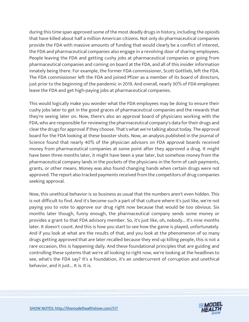during this time span approved some of the most deadly drugs in history, including the opioids that have killed about half a million American citizens. Not only do pharmaceutical companies provide the FDA with massive amounts of funding that would clearly be a conflict of interest, the FDA and pharmaceutical companies also engage in a revolving door of sharing employees. People leaving the FDA and getting cushy jobs at pharmaceutical companies or going from pharmaceutical companies and coming on board at the FDA, and all of this insider information innately being there. For example, the former FDA commissioner, Scott Gottlieb, left the FDA. The FDA commissioner left the FDA and joined Pfizer as a member of its board of directors, just prior to the beginning of the pandemic in 2019. And overall, nearly 30% of FDA employees leave the FDA and get high-paying jobs at pharmaceutical companies.

This would logically make you wonder what the FDA employees may be doing to ensure their cushy jobs later to get in the good graces of pharmaceutical companies and the rewards that they're seeing later on. Now, there's also an approval board of physicians working with the FDA, who are responsible for reviewing the pharmaceutical company's data for their drugs and clear the drugs for approval if they choose. That's what we're talking about today. The approval board for the FDA looking at these booster shots. Now, an analysis published in the Journal of Science found that nearly 40% of the physician advisors on FDA approval boards received money from pharmaceutical companies at some point after they approved a drug. It might have been three months later, it might have been a year later, but somehow money from the pharmaceutical company lands in the pockets of the physicians in the form of cash payments, grants, or other means. Money was also found changing hands when certain drugs were not approved. The report also tracked payments received from the competitors of drug companies seeking approval.

Now, this unethical behavior is so business as usual that the numbers aren't even hidden. This is not difficult to find. And it's become such a part of that culture where it's just like, we're not paying you to vote to approve our drug right now because that would be too obvious. Six months later though, funny enough, the pharmaceutical company sends some money or provides a grant to that FDA advisory member. So, it's just like, oh, nobody... It's nine months later. It doesn't count. And this is how you start to see how the game is played, unfortunately. And if you look at what are the results of that, and you look at the phenomenon of so many drugs getting approved that are later recalled because they end up killing people, this is not a rare occasion, this is happening daily. And these foundational principles that are guiding and controlling these systems that we're all looking to right now, we're looking at the headlines to see, what's the FDA say? It's a foundation, it's an undercurrent of corruption and unethical behavior, and it just... It is. It is.

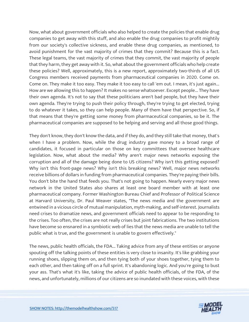Now, what about government officials who also helped to create the policies that enable drug companies to get away with this stuff, and also enable the drug companies to profit mightily from our society's collective sickness, and enable these drug companies, as mentioned, to avoid punishment for the vast majority of crimes that they commit? Because this is a fact. These legal teams, the vast majority of crimes that they commit, the vast majority of people that they harm, they get away with it. So, what about the government officials who help create these policies? Well, approximately, this is a new report, approximately two-thirds of all US Congress members received payments from pharmaceutical companies in 2020. Come on. Come on. They make it too easy. They make it too easy to call 'em out. I mean, it's just again... How are we allowing this to happen? It makes no sense whatsoever. Except people... They have their own agenda. It's not to say that these politicians aren't bad people, but they have their own agenda. They're trying to push their policy through, they're trying to get elected, trying to do whatever it takes, so they can help people. Many of them have that perspective. So, if that means that they're getting some money from pharmaceutical companies, so be it. The pharmaceutical companies are supposed to be helping and serving and all those good things.

They don't know, they don't know the data, and if they do, and they still take that money, that's when I have a problem. Now, while the drug industry gave money to a broad range of candidates, it focused in particular on those on key committees that oversee healthcare legislation. Now, what about the media? Why aren't major news networks exposing the corruption and all of the damage being done to US citizens? Why isn't this getting exposed? Why isn't this front-page news? Why isn't this breaking news? Well, major news networks receive billions of dollars in funding from pharmaceutical companies. They're paying their bills. You don't bite the hand that feeds you. That's not going to happen. Nearly every major news network in the United States also shares at least one board member with at least one pharmaceutical company. Former Washington Bureau Chief and Professor of Political Science at Harvard University, Dr. Paul Weaver states, "The news media and the government are entwined in a vicious circle of mutual manipulation, myth-making, and self-interest. Journalists need crises to dramatize news, and government officials need to appear to be responding to the crises. Too often, the crises are not really crises but joint fabrications. The two institutions have become so ensnared in a symbiotic web of lies that the news media are unable to tell the public what is true, and the government is unable to govern effectively."

The news, public health officials, the FDA... Taking advice from any of these entities or anyone spouting off the talking points of these entities is very close to insanity. It's like grabbing your running shoes, slipping them on, and then tying both of your shoes together, tying them to each other, and then taking off on a full sprint. It's abandoning logic. And you're going to bust your ass. That's what it's like, taking the advice of public health officials, of the FDA, of the news, and unfortunately, millions of our citizens are so inundated with these voices, with these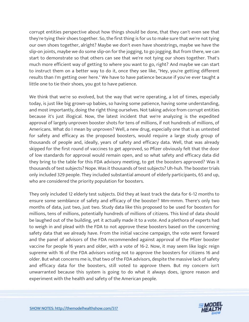corrupt entities perspective about how things should be done, that they can't even see that they're tying their shoes together. So, the first thing is for us to make sure that we're not tying our own shoes together, alright? Maybe we don't even have shoestrings, maybe we have the slip-on joints, maybe we do some slip-on for the jogging, to go jogging. But from there, we can start to demonstrate so that others can see that we're not tying our shoes together. That's much more efficient way of getting to where you want to go, right? And maybe we can start to instruct them on a better way to do it, once they see like, "Hey, you're getting different results than I'm getting over here." We have to have patience because if you've ever taught a little one to tie their shoes, you got to have patience.

We think that we're so evolved, but the way that we're operating, a lot of times, especially today, is just like big grown-up babies, so having some patience, having some understanding, and most importantly, doing the right thing ourselves. Not taking advice from corrupt entities because it's just illogical. Now, the latest incident that we're analyzing is the expedited approval of largely unproven booster shots for tens of millions, if not hundreds of millions, of Americans. What do I mean by unproven? Well, a new drug, especially one that is as untested for safety and efficacy as the proposed boosters, would require a large study group of thousands of people and, ideally, years of safety and efficacy data. Well, that was already skipped for the first round of vaccines to get approved, so Pfizer obviously felt that the door of low standards for approval would remain open, and so what safety and efficacy data did they bring to the table for this FDA advisory meeting, to get the boosters approved? Was it thousands of test subjects? Nope. Was it thousands of test subjects? Uh-huh. The booster trials only included 329 people. They included substantial amount of elderly participants, 65 and up, who are considered the priority population for boosters.

They only included 12 elderly test subjects. Did they at least track the data for 6-12 months to ensure some semblance of safety and efficacy of the booster? Mm-mmm. There's only two months of data, just two, just two. Study data like this proposed to be used for boosters for millions, tens of millions, potentially hundreds of millions of citizens. This kind of data should be laughed out of the building, yet it actually made it to a vote. And a plethora of experts had to weigh in and plead with the FDA to not approve these boosters based on the concerning safety data that we already have. From the initial vaccine campaign, the vote went forward and the panel of advisors of the FDA recommended against approval of the Pfizer booster vaccine for people 16 years and older, with a vote of 16-2. Now, it may seem like logic reign supreme with 16 of the FDA advisors voting not to approve the boosters for citizens 16 and older. But what concerns me is, that two of the FDA advisors, despite the massive lack of safety and efficacy data for the boosters, still voted to approve them. But my concern isn't unwarranted because this system is going to do what it always does, ignore reason and experiment with the health and safety of the American people.

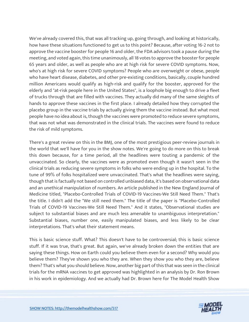We've already covered this, that was all tracking up, going through, and looking at historically, how have these situations functioned to get us to this point? Because, after voting 16-2 not to approve the vaccine booster for people 16 and older, the FDA advisors took a pause during the meeting, and voted again, this time unanimously, all 18 votes to approve the booster for people 65 years and older, as well as people who are at high risk for severe COVID symptoms. Now, who's at high risk for severe COVID symptoms? People who are overweight or obese, people who have heart disease, diabetes, and other pre-existing conditions, basically, couple hundred million Americans would qualify as high-risk and qualify for the booster, approved for the elderly and "at-risk people here in the United States", is a loophole big enough to drive a fleet of trucks through that are filled with vaccines. They actually did many of the same sleights of hands to approve these vaccines in the first place. I already detailed how they corrupted the placebo group in the vaccine trials by actually giving them the vaccine instead. But what most people have no idea about is, though the vaccines were promoted to reduce severe symptoms, that was not what was demonstrated in the clinical trials. The vaccines were found to reduce the risk of mild symptoms.

There's a great review on this in the BMJ, one of the most prestigious peer-review journals in the world that we'll have for you in the show notes. We're going to do more on this to break this down because, for a time period, all the headlines were touting a pandemic of the unvaccinated. So clearly, the vaccines were as promoted even though it wasn't seen in the clinical trials as reducing severe symptoms in folks who were ending up in the hospital. To the tune of 99% of folks hospitalized were unvaccinated. That's what the headlines were saying, though that is factually not based on controlled unbiased data, it's based on observational data and an unethical manipulation of numbers. An article published in the New England Journal of Medicine titled, "Placebo-Controlled Trials of COVID-19 Vaccines-We Still Need Them." That's the title. I didn't add the "We still need them." The title of the paper is "Placebo-Controlled Trials of COVID-19 Vaccines-We Still Need Them." And it states, "Observational studies are subject to substantial biases and are much less amenable to unambiguous interpretation." Substantial biases, number one, easily manipulated biases, and less likely to be clear interpretations. That's what their statement means.

This is basic science stuff. What? This doesn't have to be controversial; this is basic science stuff. If it was true, that's great. But again, we've already broken down the entities that are saying these things. How on Earth could you believe them even for a second? Why would you believe them? They've shown you who they are. When they show you who they are, believe them? That's what you should believe. Now, another big part of this that was seen in the clinical trials for the mRNA vaccines to get approved was highlighted in an analysis by Dr. Ron Brown in his work in epidemiology. And we actually had Dr. Brown here for The Model Health Show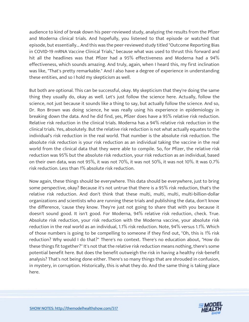audience to kind of break down his peer-reviewed study, analyzing the results from the Pfizer and Moderna clinical trials. And hopefully, you listened to that episode or watched that episode, but essentially... And this was the peer-reviewed study titled "Outcome Reporting Bias in COVID-19 mRNA Vaccine Clinical Trials," because what was used to thrust this forward and hit all the headlines was that Pfizer had a 95% effectiveness and Moderna had a 94% effectiveness, which sounds amazing. And truly, again, when I heard this, my first inclination was like, "That's pretty remarkable." And I also have a degree of experience in understanding these entities, and so I hold my skepticism as well.

But both are optional. This can be successful, okay. My skepticism that they're doing the same thing they usually do, okay as well. Let's just follow the science here. Actually, follow the science, not just because it sounds like a thing to say, but actually follow the science. And so, Dr. Ron Brown was doing science, he was really using his experience in epidemiology in breaking down the data. And he did find, yes, Pfizer does have a 95% relative risk reduction. Relative risk reduction in the clinical trials. Moderna has a 94% relative risk reduction in the clinical trials. Yes, absolutely. But the relative risk reduction is not what actually equates to the individual's risk reduction in the real world. That number is the absolute risk reduction. The absolute risk reduction is your risk reduction as an individual taking the vaccine in the real world from the clinical data that they were able to compile. So, for Pfizer, the relative risk reduction was 95% but the absolute risk reduction, your risk reduction as an individual, based on their own data, was not 95%, it was not 70%, it was not 50%, it was not 10%. It was 0.7% risk reduction. Less than 1% absolute risk reduction.

Now again, these things should be everywhere. This data should be everywhere, just to bring some perspective, okay? Because it's not untrue that there is a 95% risk reduction, that's the relative risk reduction. And don't think that these multi, multi, multi, multi-billion-dollar organizations and scientists who are running these trials and publishing the data, don't know the difference, 'cause they know. They're just not going to share that with you because it doesn't sound good. It isn't good. For Moderna, 94% relative risk reduction, check. True. Absolute risk reduction, your risk reduction with the Moderna vaccine, your absolute risk reduction in the real world as an individual, 1.1% risk reduction. Note, 94% versus 1.1%. Which of those numbers is going to be compelling to someone if they find out, "Oh, this is 1% risk reduction? Why would I do that?" There's no context. There's no education about, "How do these things fit together?" It's not that the relative risk reduction means nothing, there's some potential benefit here. But does the benefit outweigh the risk in having a healthy risk-benefit analysis? That's not being done either. There's so many things that are shrouded in confusion, in mystery, in corruption. Historically, this is what they do. And the same thing is taking place here.

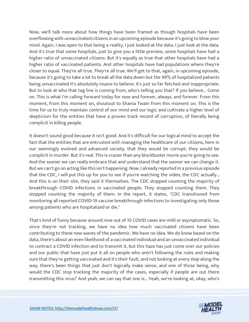Now, we'll talk more about how things have been framed as though hospitals have been overflowing with unvaccinated citizens in an upcoming episode because it's going to blow your mind. Again, I was open to that being a reality, I just looked at the data. I just look at the data. And it's true that some hospitals, just to give you a little preview, some hospitals have had a higher ratio of unvaccinated citizens. But it's equally as true that other hospitals have had a higher ratio of vaccinated patients. And other hospitals have had populations where they're closer to equal. They're all true. They're all true. We'll get to that, again, in upcoming episode, because it's going to take a lot to break all the data down but the 99% of hospitalized patients being unvaccinated it's absolutely insane to believe. It's just so far-fetched and inappropriate. But to look at who that tag line is coming from, who's telling you that? If you believe... Come on. This is what I'm calling forward today for now and forever, always, and forever. From this moment, from this moment on, shoutout to Shania Twain from this moment on. This is the time for us to truly maintain control of our mind and our logic and cultivate a higher level of skepticism for the entities that have a proven track record of corruption, of literally being complicit in killing people.

It doesn't sound good because it isn't good. And it's difficult for our logical mind to accept the fact that the entities that are entrusted with managing the healthcare of our citizens, here in our seemingly evolved and advanced society, that they would be corrupt, they would be complicit in murder. But it's real. This is crazier than any blockbuster movie you're going to see. And the sooner we can really embrace that and understand that the sooner we can change it. But we can't go on acting like this isn't happening. Now, I already reported in a previous episode that the CDC, I will put this up for you to see if you're watching the video, the CDC actually... And this is on their site, they said it themselves. The CDC stopped counting the majority of breakthrough COVID infections in vaccinated people. They stopped counting them. They stopped counting the majority of them. In the report, it states, "CDC transitioned from monitoring all reported COVID-19 vaccine breakthrough infections to investigating only those among patients who are hospitalized or die."

That's kind of funny because around nine out of 10 COVID cases are mild or asymptomatic. So, since they're not tracking, we have no idea how much vaccinated citizens have been contributing to these new waves of the pandemic. We have no idea. We do know based on the data, there's about an even likelihood of a vaccinated individual and an unvaccinated individual to contract a COVID infection and to transmit it, but this haze has just come over our policies and our public that have just put it all on people who aren't following the rules and making sure that they're getting vaccinated and it's their fault, and not looking at every step along the way, there's been things that just don't logically make sense, and one of those being, why would the CDC stop tracking the majority of the cases, especially if people are out there transmitting this virus? And yeah, we can say that one is... Yeah, we're looking at, okay, who's

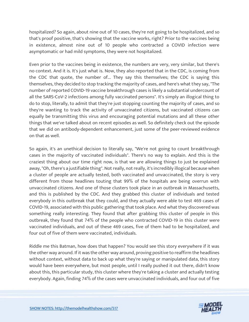hospitalized? So again, about nine out of 10 cases, they're not going to be hospitalized, and so that's proof positive, that's showing that the vaccine works, right? Prior to the vaccines being in existence, almost nine out of 10 people who contracted a COVID infection were asymptomatic or had mild symptoms, they were not hospitalized.

Even prior to the vaccines being in existence, the numbers are very, very similar, but there's no context. And it is. It's just what is. Now, they also reported that in the CDC, is coming from the CDC that quote, the number of... They say this themselves; the CDC is saying this themselves, they decided to stop tracking the majority of cases, and here's what they say, "The number of reported COVID-19 vaccine breakthrough cases is likely a substantial undercount of all the SARS-CoV-2 infections among fully vaccinated persons". It's simply an illogical thing to do to stop, literally, to admit that they're just stopping counting the majority of cases, and so they're wanting to track the activity of unvaccinated citizens, but vaccinated citizens can equally be transmitting this virus and encouraging potential mutations and all these other things that we've talked about on recent episodes as well. So definitely check out the episode that we did on antibody-dependent enhancement, just some of the peer-reviewed evidence on that as well.

So again, it's an unethical decision to literally say, "We're not going to count breakthrough cases in the majority of vaccinated individuals". There's no way to explain. And this is the craziest thing about our time right now, is that we are allowing things to just be explained away, "Oh, there's a justifiable thing". Not really, not really, it's incredibly illogical because when a cluster of people are actually tested, both vaccinated and unvaccinated, the story is very different from those headlines touting that 99% of the hospitals are being overrun with unvaccinated citizens. And one of those clusters took place in an outbreak in Massachusetts, and this is published by the CDC. And they grabbed this cluster of individuals and tested everybody in this outbreak that they could, and they actually were able to test 469 cases of COVID-19, associated with this public gathering that took place. And what they discovered was something really interesting. They found that after grabbing this cluster of people in this outbreak, they found that 74% of the people who contracted COVID-19 in this cluster were vaccinated individuals, and out of these 469 cases, five of them had to be hospitalized, and four out of five of them were vaccinated, individuals.

Riddle me this Batman, how does that happen? You would see this story everywhere if it was the other way around. If it was the other way around, proving positive to reaffirm the headlines without context, without data to back up what they're saying or manipulated data, this story would have been everywhere, but most people, until I really pushed it out there, didn't know about this, this particular study, this cluster where they're taking a cluster and actually testing everybody. Again, finding 74% of the cases were unvaccinated individuals, and four out of five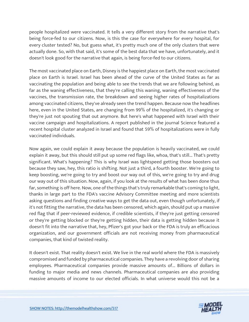people hospitalized were vaccinated. It tells a very different story from the narrative that's being force-fed to our citizens. Now, is this the case for everywhere for every hospital, for every cluster tested? No, but guess what, it's pretty much one of the only clusters that were actually done. So, with that said, it's some of the best data that we have, unfortunately, and it doesn't look good for the narrative that again, is being force-fed to our citizens.

The most vaccinated place on Earth, Disney is the happiest place on Earth, the most vaccinated place on Earth is Israel. Israel has been ahead of the curve of the United States as far as vaccinating the population and being able to see the trends that we are following behind, as far as the waning effectiveness, that they're calling this waning, waning effectiveness of the vaccines, the transmission rate, the breakdown and seeing higher rates of hospitalizations among vaccinated citizens, they've already seen the trend happen. Because now the headlines here, even in the United States, are changing from 99% of the hospitalized, it's changing or they're just not spouting that out anymore. But here's what happened with Israel with their vaccine campaign and hospitalizations. A report published in the journal Science featured a recent hospital cluster analyzed in Israel and found that 59% of hospitalizations were in fully vaccinated individuals.

Now again, we could explain it away because the population is heavily vaccinated, we could explain it away, but this should still put up some red flags like, whoa, that's still... That's pretty significant. What's happening? This is why Israel was lightspeed getting those boosters out because they saw, hey, this ratio is shifting. Not just a third, a fourth booster. We're going to keep boosting, we're going to try and boost our way out of this, we're going to try and drug our way out of this situation. Now, again, if you look at the results of what has been done thus far, something is off here. Now, one of the things that's truly remarkable that's coming to light, thanks in large part to the FDA's vaccine Advisory Committee meeting and more scientists asking questions and finding creative ways to get the data out, even though unfortunately, if it's not fitting the narrative, the data has been censored, which again, should put up a massive red flag that if peer-reviewed evidence, if credible scientists, if they're just getting censored or they're getting blocked or they're getting hidden, their data is getting hidden because it doesn't fit into the narrative that, hey, Pfizer's got your back or the FDA is truly an efficacious organization, and our government officials are not receiving money from pharmaceutical companies, that kind of twisted reality.

It doesn't exist. That reality doesn't exist. We live in the real world where the FDA is massively compromised and funded by pharmaceutical companies. They have a revolving door of sharing employees. Pharmaceutical companies provide massive amounts of... Billions of dollars in funding to major media and news channels. Pharmaceutical companies are also providing massive amounts of income to our elected officials. In what universe would this not be a

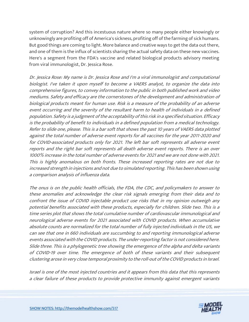system of corruption? And this incestuous nature where so many people either knowingly or unknowingly are profiting off of America's sickness, profiting off of the farming of sick humans. But good things are coming to light. More balance and creative ways to get the data out there, and one of them is the influx of scientists sharing the actual safety data on these new vaccines. Here's a segment from the FDA's vaccine and related biological products advisory meeting from viral immunologist, Dr. Jessica Rose.

Dr. Jessica Rose: My name is Dr. Jessica Rose and I'm a viral immunologist and computational biologist. I've taken it upon myself to become a VAERS analyst, to organize the data into comprehensive figures, to convey information to the public in both published work and video mediums. Safety and efficacy are the cornerstones of the development and administration of biological products meant for human use. Risk is a measure of the probability of an adverse event occurring and the severity of the resultant harm to health of individuals in a defined population. Safety is a judgment of the acceptability of this risk in a specified situation. Efficacy is the probability of benefit to individuals in a defined population from a medical technology. Refer to slide one, please. This is a bar soft that shows the past 10 years of VAERS data plotted against the total number of adverse event reports for all vaccines for the year 2011-2020 and for COVID-associated products only for 2021. The left bar soft represents all adverse event reports and the right bar soft represents all death adverse event reports. There is an over 1000% increase in the total number of adverse events for 2021 and we are not done with 2021. This is highly anomalous on both fronts. These increased reporting rates are not due to increased strength in injections and not due to simulated reporting. This has been shown using a comparison analysis of influenza data.

The onus is on the public health officials, the FDA, the CDC, and policymakers to answer to these anomalies and acknowledge the clear risk signals emerging from their data and to confront the issue of COVID injectable product use risks that in my opinion outweigh any potential benefits associated with these products, especially for children. Slide two. This is a time series plot that shows the total cumulative number of cardiovascular immunological and neurological adverse events for 2021 associated with COVID products. When accumulative absolute counts are normalized for the total number of fully injected individuals in the US, we can see that one in 660 individuals are succumbing to and reporting immunological adverse events associated with the COVID products. The under-reporting factor is not considered here. Slide three. This is a phylogenetic tree showing the emergence of the alpha and delta variants of COVID-19 over time. The emergence of both of these variants and their subsequent clustering arose in very close temporal proximity to the roll-out of the COVID products in Israel.

Israel is one of the most injected countries and it appears from this data that this represents a clear failure of these products to provide protective immunity against emergent variants

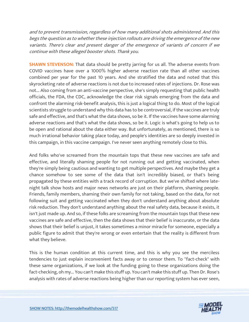and to prevent transmission, regardless of how many additional shots administered. And this begs the question as to whether these injection rollouts are driving the emergence of the new variants. There's clear and present danger of the emergence of variants of concern if we continue with these alleged booster shots. Thank you.

**SHAWN STEVENSON:** That data should be pretty jarring for us all. The adverse events from COVID vaccines have over a 1000% higher adverse reaction rate than all other vaccines combined per year for the past 10 years. And she stratified the data and noted that this skyrocketing rate of adverse reactions is not due to increased rates of injections. Dr. Rose was not... Also coming from an anti-vaccine perspective, she's simply requesting that public health officials, the FDA, the CDC, acknowledge the clear risk signals emerging from the data and confront the alarming risk-benefit analysis, this is just a logical thing to do. Most of the logical scientists struggle to understand why this data has to be controversial, if the vaccines are truly safe and effective, and that's what the data shows, so be it. If the vaccines have some alarming adverse reactions and that's what the data shows, so be it. Logic is what's going to help us to be open and rational about the data either way. But unfortunately, as mentioned, there is so much irrational behavior taking place today, and people's identities are so deeply invested in this campaign, in this vaccine campaign. I've never seen anything remotely close to this.

And folks who've screamed from the mountain tops that these new vaccines are safe and effective, and literally shaming people for not running out and getting vaccinated, when they're simply being cautious and wanting to get multiple perspectives. And maybe they get a chance somehow to see some of the data that isn't incredibly biased, or that's being propagated by these entities with a track record of corruption. But we've shifted where latenight talk show hosts and major news networks are just on their platform, shaming people. Friends, family members, shaming their own family for not taking, based on the data, for not following suit and getting vaccinated when they don't understand anything about absolute risk reduction. They don't understand anything about the real safety data, because it exists, it isn't just made up. And so, if these folks are screaming from the mountain tops that these new vaccines are safe and effective, then the data shows that their belief is inaccurate, or the data shows that their belief is unjust, it takes sometimes a minor miracle for someone, especially a public figure to admit that they're wrong or even entertain that the reality is different from what they believe.

This is the human condition at this current time, and this is why you see the merciless tendencies to just explain inconvenient facts away or to censor them. To "fact-check" with these same organizations, if we look at the funding going to these organizations doing the fact-checking, oh my... You can't make this stuff up. You can't make this stuff up. Then Dr. Rose's analysis with rates of adverse reactions being higher than our reporting system has ever seen,

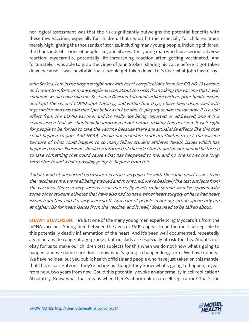her logical assessment was that the risk significantly outweighs the potential benefits with these new vaccines, especially for children. That's what hit me, especially for children. She's merely highlighting the thousands of stories, including many young people, including children, the thousands of stories of people like John Stokes. This young man who had a serious adverse reaction, myocarditis, potentially life-threatening reaction after getting vaccinated. And fortunately, I was able to grab the video of John Stokes, sharing his voice before it got taken down because it was inevitable that it would get taken down. Let's hear what John has to say.

John Stokes: I am in the hospital right now with heart complications from the COVID-19 vaccine, and I want to inform as many people as I can about the risks from taking the vaccine that I wish someone would have told me. So, I am a Division 1 student-athlete with no prior health issues, and I got the second COVID shot Tuesday, and within four days, I have been diagnosed with myocarditis and was told that I probably won't be able to play my senior season now. It is a side effect from the COVID vaccine, and it's really not being reported or addressed, and it is a serious issue that we should all be informed about before making this decision. It isn't right for people to be forced to take the vaccine because there are actual side effects like this that could happen to you. And NCAA should not mandate student-athletes to get the vaccine because of what could happen to so many fellow student athletes' health issues which has happened to me. Everyone should be informed of the side effects, and no one should be forced to take something that could cause what has happened to me, and no one knows the longterm effects and what's possibly going to happen from this.

And it's kind of uncharted territories because everyone else with the same heart issues from the vaccine as me, we're all being tracked and monitored, we're basically like test subjects from the vaccines. Hence a very serious issue that really needs to be spread. And I've spoken with some other student-athletes that have also had to have either heart surgery or have had heart issues from this, and it's very scary stuff. And a lot of people in our age group apparently are at higher risk for heart issues from the vaccine, and it really does need to be talked about.

**SHAWN STEVENSON:** He's just one of the many young men experiencing Myocarditis from the mRNA vaccines. Young men between the ages of 16-19 appear to be the most susceptible to this potentially deadly inflammation of the heart. And it's been well documented, repeatedly again, in a wide range of age groups, but our kids are especially at risk for this. And it's not okay for us to make our children test subjects for this when we do not know what's going to happen, and we damn sure don't know what's going to happen long-term. We have no idea. We have no idea, but yet, public health officials and people who have just taken on this mantle, that this is so righteous, they're acting as though they know what's going to happen, a year from now, two years from now. Could this potentially evoke an abnormality in cell replication? Absolutely. Know what that means when there's abnormalities in cell replication? That's the

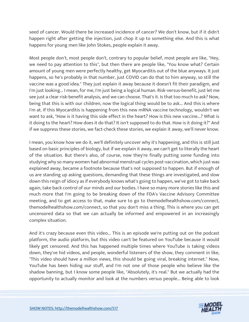seed of cancer. Would there be increased incidence of cancer? We don't know, but if it didn't happen right after getting the injection, just chop it up to something else. And this is what happens for young men like John Stokes, people explain it away.

Most people don't, most people don't, contrary to popular belief, most people are like, "Hey, we need to pay attention to this", but then there are people like, "You know what? Certain amount of young men were perfectly healthy, get Myocarditis out of the blue anyways. It just happens, so he's probably in that number, just COVID can do that to him anyway, so still the vaccine was a good idea." They just explain it away because it doesn't fit their paradigm, and I'm just looking... I mean, for me, I'm just being a logical human. Risk-versus-benefit, just let me see just a clear risk-benefit analysis, and we can choose. That's it. Is that too much to ask? Now, being that this is with our children, now the logical thing would be to ask... And this is where I'm at. If this Myocarditis is happening from this new mRNA vaccine technology, wouldn't we want to ask, "How is it having this side effect in the heart? How is this new vaccine...? What is it doing to the heart? How does it do that? It isn't supposed to do that. How is it doing it?" And if we suppress these stories, we fact-check these stories, we explain it away, we'll never know.

I mean, you know how we do it, we'll definitely uncover why it's happening, and this is still just based on basic principles of biology, but if we explain it away, we can't get to literally the heart of the situation. But there's also, of course, now they're finally putting some funding into studying why so many women had abnormal menstrual cycles post-vaccination, which just was explained away, became a footnote because that's not supposed to happen. But if enough of us are standing up asking questions, demanding that these things are investigated, and slow down this reign of idiocy as if everybody knows what's going to happen, we've got to take back again, take back control of our minds and our bodies. I have so many more stories like this and much more that I'm going to be breaking down of the FDA's Vaccine Advisory Committee meeting, and to get access to that, make sure to go to themodelhealthshow.com/connect, themodelhealthshow.com/connect, so that you don't miss a thing. This is where you can get uncensored data so that we can actually be informed and empowered in an increasingly complex situation.

And it's crazy because even this video... This is an episode we're putting out on the podcast platform, the audio platform, but this video can't be featured on YouTube because it would likely get censored. And this has happened multiple times where YouTube is taking videos down, they've hid videos, and people, wonderful listeners of the show, they comment in like, "This video should have a million views, this should be going viral, breaking internet." Now, YouTube has been hiding our stuff, and I'm not one of those people who believe like the shadow banning, but I know some people like, "Absolutely, it's real." But we actually had the opportunity to actually monitor and look at the numbers versus people... Being able to look

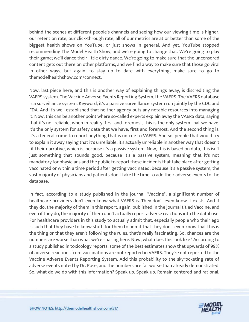behind the scenes at different people's channels and seeing how our viewing time is higher, our retention rate, our click-through rate, all of our metrics are at or better than some of the biggest health shows on YouTube, or just shows in general. And yet, YouTube stopped recommending The Model Health Show, and we're going to change that. We're going to play their game; we'll dance their little dirty dance. We're going to make sure that the uncensored content gets out there on other platforms, and we find a way to make sure that those go viral in other ways, but again, to stay up to date with everything, make sure to go to themodelhealthshow.com/connect.

Now, last piece here, and this is another way of explaining things away, is discrediting the VAERS system. The Vaccine Adverse Events Reporting System, the VAERS. The VAERS database is a surveillance system. Keyword, it's a passive surveillance system run jointly by the CDC and FDA. And it's well established that neither agency puts any notable resources into managing it. Now, this can be another point where so-called experts explain away the VAERS data, saying that it's not reliable, when in reality, first and foremost, this is the only system that we have. It's the only system for safety data that we have, first and foremost. And the second thing is, it's a federal crime to report anything that is untrue to VAERS. And so, people that would try to explain it away saying that it's unreliable, it's actually unreliable in another way that doesn't fit their narrative, which is, because it's a passive system. Now, this is based on data, this isn't just something that sounds good, because it's a passive system, meaning that it's not mandatory for physicians and the public to report these incidents that take place after getting vaccinated or within a time period after getting vaccinated, because it's a passive system, the vast majority of physicians and patients don't take the time to add their adverse events to the database.

In fact, according to a study published in the journal "Vaccine", a significant number of healthcare providers don't even know what VAERS is. They don't even know it exists. And if they do, the majority of them in this report, again, published in the journal titled Vaccine, and even if they do, the majority of them don't actually report adverse reactions into the database. For healthcare providers in this study to actually admit that, especially people who their ego is such that they have to know stuff, for them to admit that they don't even know that this is the thing or that they aren't following the rules, that's really fascinating. So, chances are the numbers are worse than what we're sharing here. Now, what does this look like? According to a study published in toxicology reports, some of the best estimates show that upwards of 99% of adverse reactions from vaccinations are not reported in VAERS. They're not reported to the Vaccine Adverse Events Reporting System. Add this probability to the skyrocketing rate of adverse events noted by Dr. Rose, and the numbers are far worse than already demonstrated. So, what do we do with this information? Speak up. Speak up. Remain centered and rational,